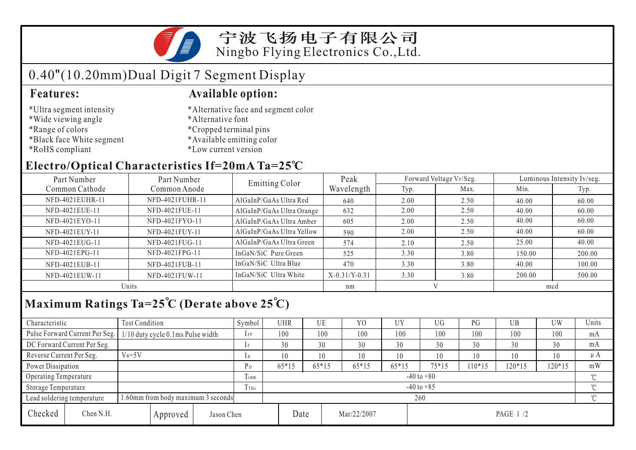

# 0.40"(10.20mm)Dual Digit 7 Segment Display

- \*Ultra segment intensity
- \*Wide viewing angle
- \*Range of colors
- \*Black face White segment
- \*RoHS compliant

### **Features: Available option:**

- \*Alternative face and segment color
- \*Alternative font
- \*Cropped terminal pins
- \*Available emitting color
- \*Low current version

## **Electro/Optical Characteristics If=20mA Ta=25 C**

| Part Number<br>Part Number |                 | <b>Emitting Color</b>     | Peak            |      | Forward Voltage VF/Seg. | Luminous Intensity Iv/seg. |        |  |
|----------------------------|-----------------|---------------------------|-----------------|------|-------------------------|----------------------------|--------|--|
| Common Cathode             | Common Anode    |                           | Wavelength      | Typ. | Max.                    | Min.                       | Typ.   |  |
| NFD-4021EUHR-11            | NFD-4021FUHR-11 | AlGaInP/GaAs Ultra Red    | 640             | 2.00 | 2.50                    | 40.00                      | 60.00  |  |
| NFD-4021EUE-11             | NFD-4021FUE-11  | AlGaInP/GaAs Ultra Orange | 632             | 2.00 | 2.50                    | 40.00                      | 60.00  |  |
| NFD-4021EYO-11             | NFD-4021FYO-11  | AlGaInP/GaAs Ultra Amber  | 605             | 2.00 | 2.50                    | 40.00                      | 60.00  |  |
| NFD-4021EUY-11             | NFD-4021FUY-11  | AlGaInP/GaAs Ultra Yellow | 590             | 2.00 | 2.50                    | 40.00                      | 60.00  |  |
| NFD-4021EUG-11             | NFD-4021FUG-11  | AlGaInP/GaAs Ultra Green  | 574             | 2.10 | 2.50                    | 25.00                      | 40.00  |  |
| NFD-4021EPG-11             | NFD-4021FPG-11  | InGaN/SiC Pure Green      | 525             | 3.30 | 3.80                    | 150.00                     | 200.00 |  |
| NFD-4021EUB-11             | NFD-4021FUB-11  | InGaN/SiC Ultra Blue      | 470             | 3.30 | 3.80                    | 40.00                      | 100.00 |  |
| NFD-4021EUW-11             | NFD-4021FUW-11  | InGaN/SiC Ultra White     | $X-0.31/Y-0.31$ | 3.30 | 3.80                    | 200.00                     | 500.00 |  |
| Units                      |                 |                           | nm              |      |                         | mcd                        |        |  |

## **Maximum Ratings Ta=25 C (Derate above 25 C)**

| Characteristic           |                                     | Test Condition                     |      |                     | Symbol         | <b>UHR</b> |                | UE       | Y <sub>0</sub> | UY      | UG    | PG      | UB       | <b>UW</b> | Units   |
|--------------------------|-------------------------------------|------------------------------------|------|---------------------|----------------|------------|----------------|----------|----------------|---------|-------|---------|----------|-----------|---------|
|                          | Pulse Forward Current Per Seg.      | 1/10 duty cycle 0.1ms Pulse width  |      |                     | $1$ FP         | 100        |                | 100      | 100            | 100     | 100   | 100     | 100      | 100       | mA      |
|                          | DC Forward Current Per Seg.         |                                    |      |                     | 1F             | 30         |                | 30       | 30             | 30      | 30    | 30      | 30       | 30        | mA      |
| Reverse Current Per Seg. |                                     | $V_R = 5V$                         |      |                     | 1 R            | 10         |                | 10       | 10             | 10      | 10    | 10      | 10       | 10        | $\mu A$ |
| Power Dissipation        |                                     |                                    |      |                     | P <sub>D</sub> | $65*15$    |                | $65*15$  | $65*15$        | $65*15$ | 75*15 | $10*15$ | $120*15$ | 120*15    | mW      |
|                          | Operating Temperature               |                                    |      |                     | <b>TOPR</b>    |            | $-40$ to $+80$ |          |                |         |       |         |          |           |         |
| Storage Temperature      |                                     |                                    | Trsg | $-40$ to $+85$      |                |            |                |          |                |         |       |         | $\sim$   |           |         |
|                          | Lead soldering temperature          | 1.60mm from body maximum 3 seconds |      | $\sim$<br>260       |                |            |                |          |                |         |       |         |          |           |         |
| Checked                  | Chen N.H.<br>Jason Chen<br>Approved |                                    |      | Date<br>Mar/22/2007 |                |            |                | PAGE 1/2 |                |         |       |         |          |           |         |